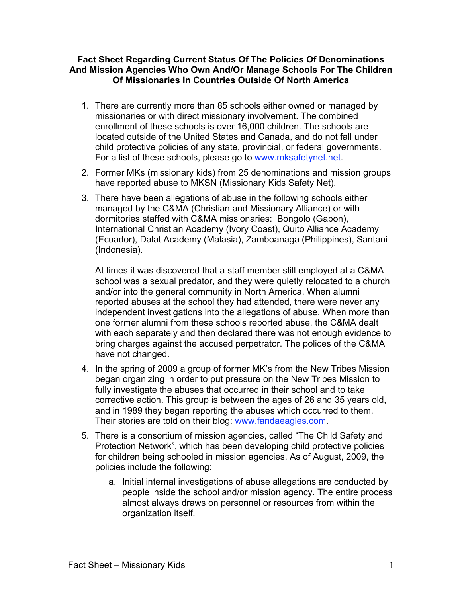## **Fact Sheet Regarding Current Status Of The Policies Of Denominations And Mission Agencies Who Own And/Or Manage Schools For The Children Of Missionaries In Countries Outside Of North America**

- 1. There are currently more than 85 schools either owned or managed by missionaries or with direct missionary involvement. The combined enrollment of these schools is over 16,000 children. The schools are located outside of the United States and Canada, and do not fall under child protective policies of any state, provincial, or federal governments. For a list of these schools, please go to www.mksafetynet.net.
- 2. Former MKs (missionary kids) from 25 denominations and mission groups have reported abuse to MKSN (Missionary Kids Safety Net).
- 3. There have been allegations of abuse in the following schools either managed by the C&MA (Christian and Missionary Alliance) or with dormitories staffed with C&MA missionaries: Bongolo (Gabon), International Christian Academy (Ivory Coast), Quito Alliance Academy (Ecuador), Dalat Academy (Malasia), Zamboanaga (Philippines), Santani (Indonesia).

At times it was discovered that a staff member still employed at a C&MA school was a sexual predator, and they were quietly relocated to a church and/or into the general community in North America. When alumni reported abuses at the school they had attended, there were never any independent investigations into the allegations of abuse. When more than one former alumni from these schools reported abuse, the C&MA dealt with each separately and then declared there was not enough evidence to bring charges against the accused perpetrator. The polices of the C&MA have not changed.

- 4. In the spring of 2009 a group of former MK's from the New Tribes Mission began organizing in order to put pressure on the New Tribes Mission to fully investigate the abuses that occurred in their school and to take corrective action. This group is between the ages of 26 and 35 years old, and in 1989 they began reporting the abuses which occurred to them. Their stories are told on their blog: www.fandaeagles.com.
- 5. There is a consortium of mission agencies, called "The Child Safety and Protection Network", which has been developing child protective policies for children being schooled in mission agencies. As of August, 2009, the policies include the following:
	- a. Initial internal investigations of abuse allegations are conducted by people inside the school and/or mission agency. The entire process almost always draws on personnel or resources from within the organization itself.